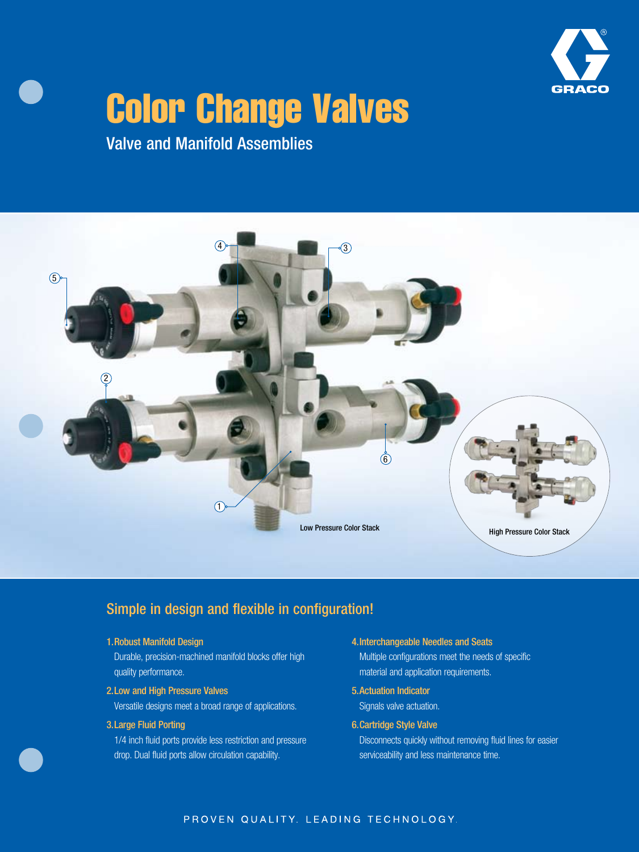

# Color Change Valves

Valve and Manifold Assemblies



## Simple in design and flexible in configuration!

#### 1. Robust Manifold Design

Durable, precision-machined manifold blocks offer high quality performance.

2. Low and High Pressure Valves

Versatile designs meet a broad range of applications.

#### 3. Large Fluid Porting

1/4 inch fluid ports provide less restriction and pressure drop. Dual fluid ports allow circulation capability.

4. Interchangeable Needles and Seats

Multiple configurations meet the needs of specific material and application requirements.

- 5. Actuation Indicator Signals valve actuation.
- 6. Cartridge Style Valve

Disconnects quickly without removing fluid lines for easier serviceability and less maintenance time.